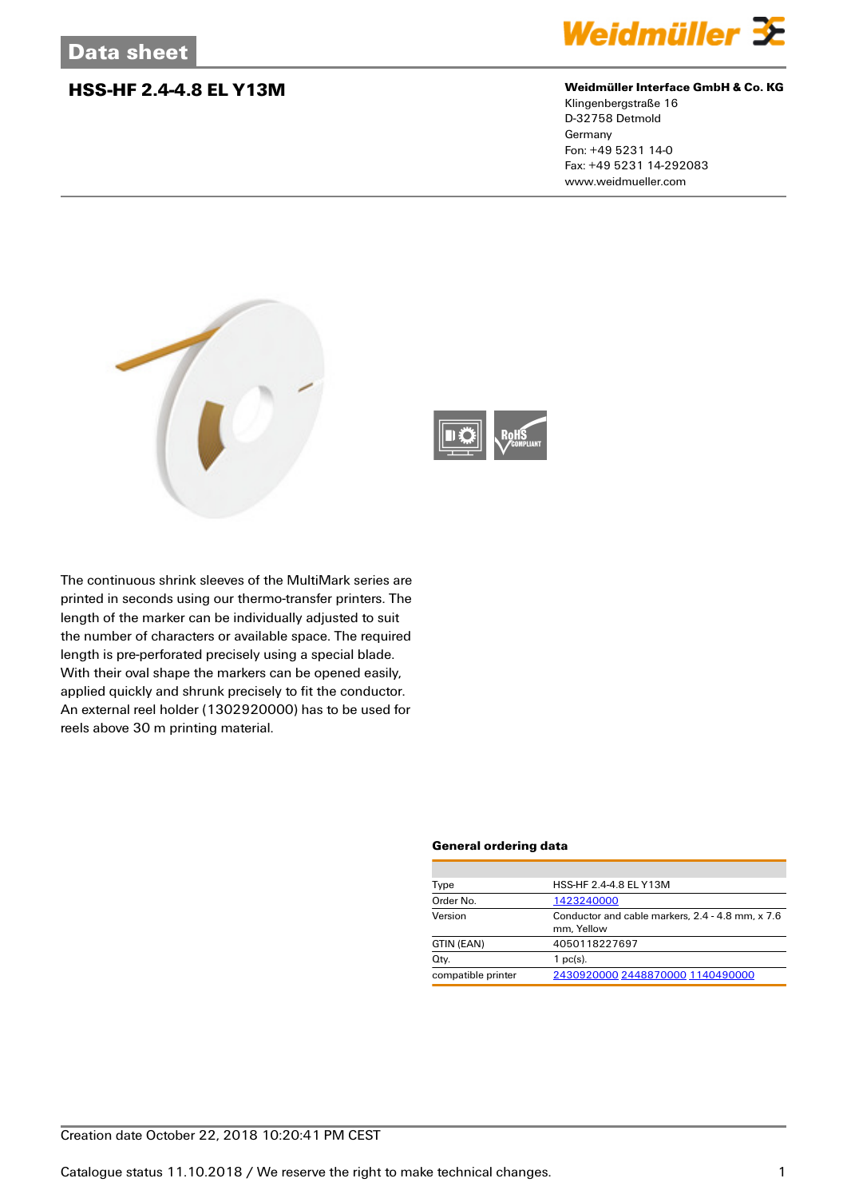### **HSS-HF 2.4-4.8 EL Y13M Weidmüller Interface GmbH & Co. KG**



Klingenbergstraße 16 D-32758 Detmold Germany Fon: +49 5231 14-0 Fax: +49 5231 14-292083 www.weidmueller.com





The continuous shrink sleeves of the MultiMark series are printed in seconds using our thermo-transfer printers. The length of the marker can be individually adjusted to suit the number of characters or available space. The required length is pre-perforated precisely using a special blade. With their oval shape the markers can be opened easily, applied quickly and shrunk precisely to fit the conductor. An external reel holder (1302920000) has to be used for reels above 30 m printing material.

### **General ordering data**

| Type               | HSS-HF 2.4-4.8 EL Y13M                                         |  |  |
|--------------------|----------------------------------------------------------------|--|--|
| Order No.          | 1423240000                                                     |  |  |
| Version            | Conductor and cable markers, 2.4 - 4.8 mm, x 7.6<br>mm. Yellow |  |  |
| GTIN (EAN)         | 4050118227697                                                  |  |  |
| Qty.               | $1$ pc(s).                                                     |  |  |
| compatible printer | 2430920000 2448870000 1140490000                               |  |  |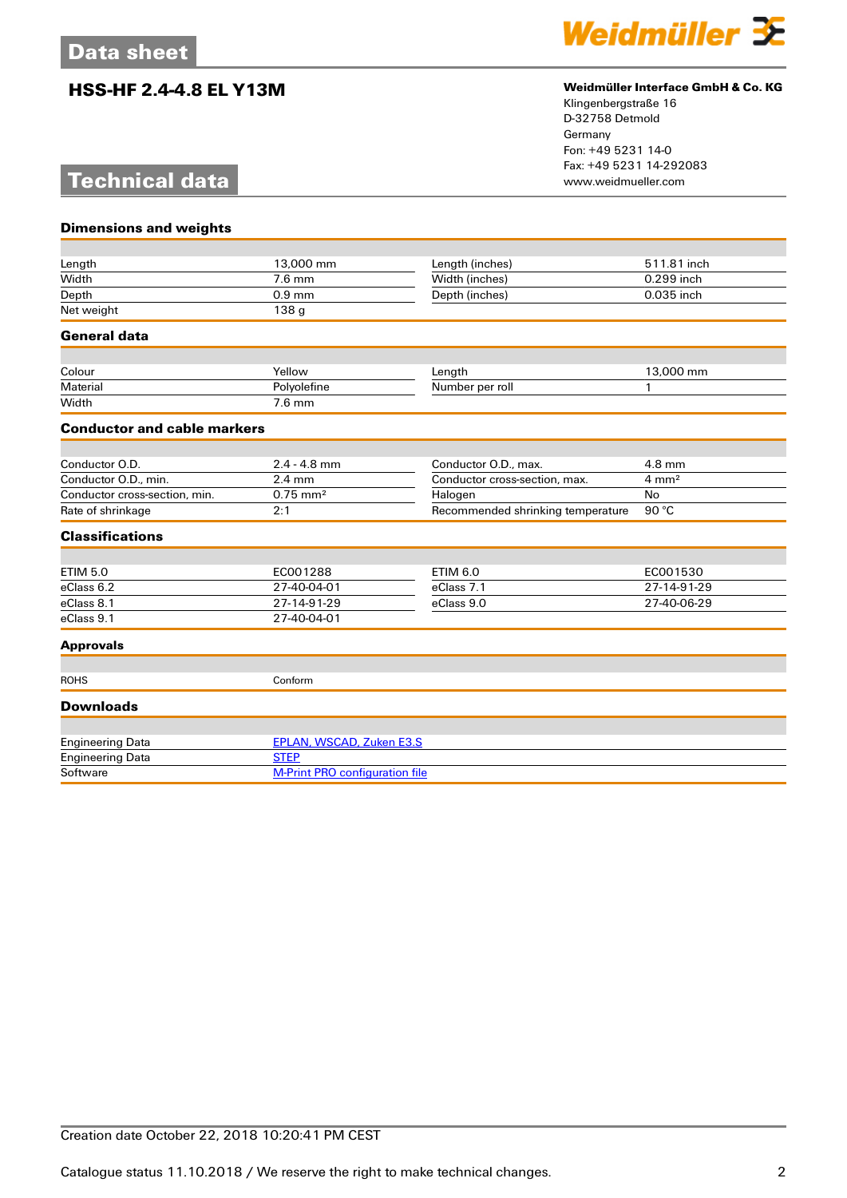## **HSS-HF 2.4-4.8 EL Y13M Weidmüller Interface GmbH & Co. KG**



Klingenbergstraße 16 D-32758 Detmold Germany Fon: +49 5231 14-0 Fax: +49 5231 14-292083

# **Technical data**

| <b>Dimensions and weights</b>      |                                       |                                   |                  |
|------------------------------------|---------------------------------------|-----------------------------------|------------------|
|                                    |                                       |                                   |                  |
| Length                             | 13,000 mm                             | Length (inches)                   | 511.81 inch      |
| Width                              | $7.6$ mm                              | Width (inches)                    | 0.299 inch       |
| Depth                              | $0.9$ mm                              | Depth (inches)                    | 0.035 inch       |
| Net weight                         | 138 g                                 |                                   |                  |
| <b>General data</b>                |                                       |                                   |                  |
| Colour                             | Yellow                                | Length                            | 13,000 mm        |
| Material                           | Polyolefine                           | Number per roll                   | 1                |
| Width                              | $7.6$ mm                              |                                   |                  |
| <b>Conductor and cable markers</b> |                                       |                                   |                  |
|                                    |                                       |                                   |                  |
| Conductor O.D.                     | $2.4 - 4.8$ mm                        | Conductor O.D., max.              | 4.8 mm           |
| Conductor O.D., min.               | $2.4 \text{ mm}$                      | Conductor cross-section, max.     | $4 \text{ mm}^2$ |
| Conductor cross-section, min.      | $0.75 \, \text{mm}^2$                 | Halogen                           | No               |
| Rate of shrinkage                  | 2:1                                   | Recommended shrinking temperature | 90 °C            |
| <b>Classifications</b>             |                                       |                                   |                  |
|                                    |                                       |                                   |                  |
| <b>ETIM 5.0</b>                    | EC001288                              | <b>ETIM 6.0</b>                   | EC001530         |
| eClass 6.2                         | 27-40-04-01                           | eClass 7.1                        | 27-14-91-29      |
| eClass 8.1                         | 27-14-91-29                           | eClass 9.0                        | 27-40-06-29      |
| eClass 9.1                         | 27-40-04-01                           |                                   |                  |
| <b>Approvals</b>                   |                                       |                                   |                  |
| <b>ROHS</b>                        | Conform                               |                                   |                  |
| <b>Downloads</b>                   |                                       |                                   |                  |
| <b>Engineering Data</b>            | EPLAN, WSCAD, Zuken E3.S              |                                   |                  |
| <b>Engineering Data</b>            | <b>STEP</b>                           |                                   |                  |
| Software                           | <b>M-Print PRO configuration file</b> |                                   |                  |
|                                    |                                       |                                   |                  |